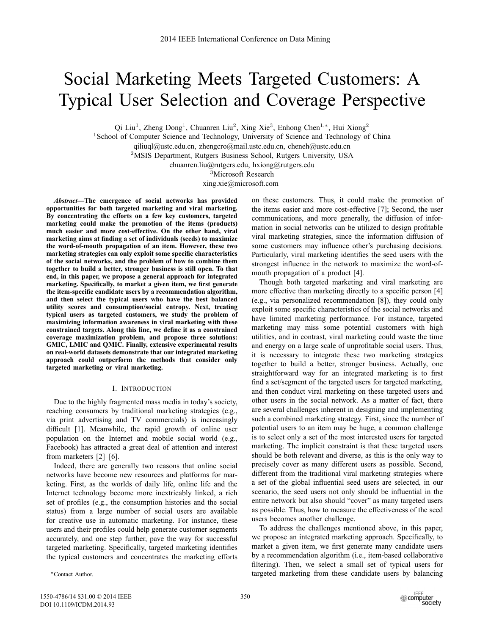# Social Marketing Meets Targeted Customers: A Typical User Selection and Coverage Perspective

Qi Liu<sup>1</sup>, Zheng Dong<sup>1</sup>, Chuanren Liu<sup>2</sup>, Xing Xie<sup>3</sup>, Enhong Chen<sup>1,\*</sup>, Hui Xiong<sup>2</sup>

<sup>1</sup>School of Computer Science and Technology, University of Science and Technology of China

qiliuql@ustc.edu.cn, zhengcro@mail.ustc.edu.cn, cheneh@ustc.edu.cn

<sup>2</sup>MSIS Department, Rutgers Business School, Rutgers University, USA

chuanren.liu@rutgers.edu, hxiong@rutgers.edu

<sup>3</sup>Microsoft Research

xing.xie@microsoft.com

*Abstract***—The emergence of social networks has provided opportunities for both targeted marketing and viral marketing. By concentrating the efforts on a few key customers, targeted marketing could make the promotion of the items (products) much easier and more cost-effective. On the other hand, viral** marketing aims at finding a set of individuals (seeds) to maximize **the word-of-mouth propagation of an item. However, these two** marketing strategies can only exploit some specific characteristics **of the social networks, and the problem of how to combine them together to build a better, stronger business is still open. To that end, in this paper, we propose a general approach for integrated** marketing. Specifically, to market a given item, we first generate the item-specific candidate users by a recommendation algorithm, **and then select the typical users who have the best balanced utility scores and consumption/social entropy. Next, treating typical users as targeted customers, we study the problem of maximizing information awareness in viral marketing with these** constrained targets. Along this line, we define it as a constrained **coverage maximization problem, and propose three solutions: GMIC, LMIC and QMIC. Finally, extensive experimental results on real-world datasets demonstrate that our integrated marketing approach could outperform the methods that consider only targeted marketing or viral marketing.**

# I. INTRODUCTION

Due to the highly fragmented mass media in today's society, reaching consumers by traditional marketing strategies (e.g., via print advertising and TV commercials) is increasingly difficult [1]. Meanwhile, the rapid growth of online user population on the Internet and mobile social world (e.g., Facebook) has attracted a great deal of attention and interest from marketers [2]–[6].

Indeed, there are generally two reasons that online social networks have become new resources and platforms for marketing. First, as the worlds of daily life, online life and the Internet technology become more inextricably linked, a rich set of profiles (e.g., the consumption histories and the social status) from a large number of social users are available for creative use in automatic marketing. For instance, these users and their profiles could help generate customer segments accurately, and one step further, pave the way for successful targeted marketing. Specifically, targeted marketing identifies the typical customers and concentrates the marketing efforts

-Contact Author.

on these customers. Thus, it could make the promotion of the items easier and more cost-effective [7]; Second, the user communications, and more generally, the diffusion of information in social networks can be utilized to design profitable viral marketing strategies, since the information diffusion of some customers may influence other's purchasing decisions. Particularly, viral marketing identifies the seed users with the strongest influence in the network to maximize the word-ofmouth propagation of a product [4].

Though both targeted marketing and viral marketing are more effective than marketing directly to a specific person [4] (e.g., via personalized recommendation [8]), they could only exploit some specific characteristics of the social networks and have limited marketing performance. For instance, targeted marketing may miss some potential customers with high utilities, and in contrast, viral marketing could waste the time and energy on a large scale of unprofitable social users. Thus, it is necessary to integrate these two marketing strategies together to build a better, stronger business. Actually, one straightforward way for an integrated marketing is to first find a set/segment of the targeted users for targeted marketing, and then conduct viral marketing on these targeted users and other users in the social network. As a matter of fact, there are several challenges inherent in designing and implementing such a combined marketing strategy. First, since the number of potential users to an item may be huge, a common challenge is to select only a set of the most interested users for targeted marketing. The implicit constraint is that these targeted users should be both relevant and diverse, as this is the only way to precisely cover as many different users as possible. Second, different from the traditional viral marketing strategies where a set of the global influential seed users are selected, in our scenario, the seed users not only should be influential in the entire network but also should "cover" as many targeted users as possible. Thus, how to measure the effectiveness of the seed users becomes another challenge.

To address the challenges mentioned above, in this paper, we propose an integrated marketing approach. Specifically, to market a given item, we first generate many candidate users by a recommendation algorithm (i.e., item-based collaborative filtering). Then, we select a small set of typical users for targeted marketing from these candidate users by balancing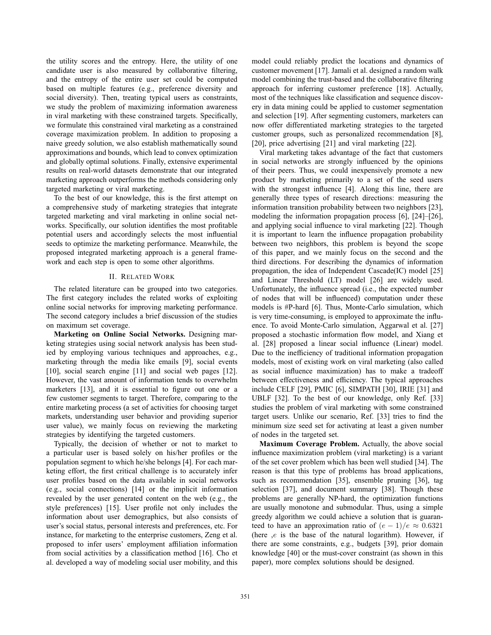the utility scores and the entropy. Here, the utility of one candidate user is also measured by collaborative filtering, and the entropy of the entire user set could be computed based on multiple features (e.g., preference diversity and social diversity). Then, treating typical users as constraints, we study the problem of maximizing information awareness in viral marketing with these constrained targets. Specifically, we formulate this constrained viral marketing as a constrained coverage maximization problem. In addition to proposing a naive greedy solution, we also establish mathematically sound approximations and bounds, which lead to convex optimization and globally optimal solutions. Finally, extensive experimental results on real-world datasets demonstrate that our integrated marketing approach outperforms the methods considering only targeted marketing or viral marketing.

To the best of our knowledge, this is the first attempt on a comprehensive study of marketing strategies that integrate targeted marketing and viral marketing in online social networks. Specifically, our solution identifies the most profitable potential users and accordingly selects the most influential seeds to optimize the marketing performance. Meanwhile, the proposed integrated marketing approach is a general framework and each step is open to some other algorithms.

## II. RELATED WORK

The related literature can be grouped into two categories. The first category includes the related works of exploiting online social networks for improving marketing performance. The second category includes a brief discussion of the studies on maximum set coverage.

**Marketing on Online Social Networks.** Designing marketing strategies using social network analysis has been studied by employing various techniques and approaches, e.g., marketing through the media like emails [9], social events [10], social search engine [11] and social web pages [12]. However, the vast amount of information tends to overwhelm marketers [13], and it is essential to figure out one or a few customer segments to target. Therefore, comparing to the entire marketing process (a set of activities for choosing target markets, understanding user behavior and providing superior user value), we mainly focus on reviewing the marketing strategies by identifying the targeted customers.

Typically, the decision of whether or not to market to a particular user is based solely on his/her profiles or the population segment to which he/she belongs [4]. For each marketing effort, the first critical challenge is to accurately infer user profiles based on the data available in social networks (e.g., social connections) [14] or the implicit information revealed by the user generated content on the web (e.g., the style preferences) [15]. User profile not only includes the information about user demographics, but also consists of user's social status, personal interests and preferences, etc. For instance, for marketing to the enterprise customers, Zeng et al. proposed to infer users' employment affiliation information from social activities by a classification method [16]. Cho et al. developed a way of modeling social user mobility, and this

model could reliably predict the locations and dynamics of customer movement [17]. Jamali et al. designed a random walk model combining the trust-based and the collaborative filtering approach for inferring customer preference [18]. Actually, most of the techniques like classification and sequence discovery in data mining could be applied to customer segmentation and selection [19]. After segmenting customers, marketers can now offer differentiated marketing strategies to the targeted customer groups, such as personalized recommendation [8], [20], price advertising [21] and viral marketing [22].

Viral marketing takes advantage of the fact that customers in social networks are strongly influenced by the opinions of their peers. Thus, we could inexpensively promote a new product by marketing primarily to a set of the seed users with the strongest influence  $[4]$ . Along this line, there are generally three types of research directions: measuring the information transition probability between two neighbors [23], modeling the information propagation process [6], [24]–[26], and applying social influence to viral marketing [22]. Though it is important to learn the influence propagation probability between two neighbors, this problem is beyond the scope of this paper, and we mainly focus on the second and the third directions. For describing the dynamics of information propagation, the idea of Independent Cascade(IC) model [25] and Linear Threshold (LT) model [26] are widely used. Unfortunately, the influence spread (i.e., the expected number of nodes that will be influenced) computation under these models is #P-hard [6]. Thus, Monte-Carlo simulation, which is very time-consuming, is employed to approximate the influence. To avoid Monte-Carlo simulation, Aggarwal et al. [27] proposed a stochastic information flow model, and Xiang et al. [28] proposed a linear social influence (Linear) model. Due to the inefficiency of traditional information propagation models, most of existing work on viral marketing (also called as social influence maximization) has to make a tradeoff between effectiveness and efficiency. The typical approaches include CELF [29], PMIC [6], SIMPATH [30], IRIE [31] and UBLF [32]. To the best of our knowledge, only Ref. [33] studies the problem of viral marketing with some constrained target users. Unlike our scenario, Ref. [33] tries to find the minimum size seed set for activating at least a given number of nodes in the targeted set.

**Maximum Coverage Problem.** Actually, the above social influence maximization problem (viral marketing) is a variant of the set cover problem which has been well studied [34]. The reason is that this type of problems has broad applications, such as recommendation [35], ensemble pruning [36], tag selection [37], and document summary [38]. Though these problems are generally NP-hard, the optimization functions are usually monotone and submodular. Thus, using a simple greedy algorithm we could achieve a solution that is guaranteed to have an approximation ratio of  $(e-1)/e \approx 0.6321$ <br>(here e is the base of the natural logarithm). However, if (here  $,e$  is the base of the natural logarithm). However, if there are some constraints, e.g., budgets [39], prior domain knowledge [40] or the must-cover constraint (as shown in this paper), more complex solutions should be designed.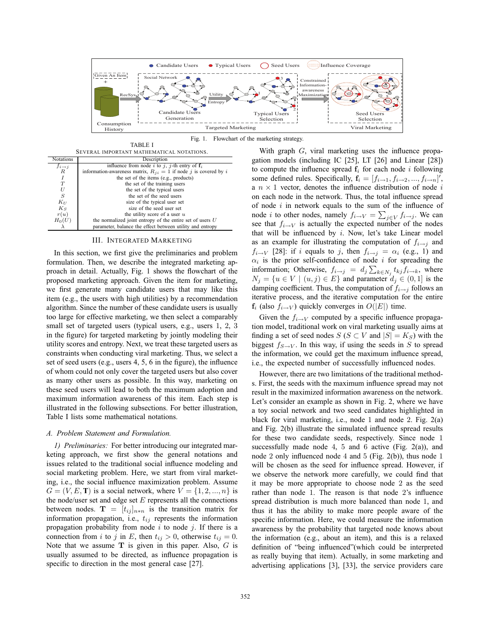

Fig. 1. Flowchart of the marketing strategy

| SEVERAL IMPORTANT MATHEMATICAL NOTATIONS. |                                                                      |  |  |  |  |
|-------------------------------------------|----------------------------------------------------------------------|--|--|--|--|
| <b>Notations</b>                          | Description                                                          |  |  |  |  |
| $f_{i\rightarrow j}$                      | influence from node i to j, j-th entry of $f_i$                      |  |  |  |  |
| $\boldsymbol{R}$                          | information-awareness matrix, $R_{ii} = 1$ if node j is covered by i |  |  |  |  |
| I                                         | the set of the items (e.g., products)                                |  |  |  |  |
| T                                         | the set of the training users                                        |  |  |  |  |
| U                                         | the set of the typical users                                         |  |  |  |  |
| ${\cal S}$                                | the set of the seed users                                            |  |  |  |  |
| $K_U$                                     | size of the typical user set                                         |  |  |  |  |
| $K_S$                                     | size of the seed user set                                            |  |  |  |  |
| r(u)                                      | the utility score of a user $u$                                      |  |  |  |  |
| $H_0(U)$                                  | the normalized joint entropy of the entire set of users $U$          |  |  |  |  |
|                                           | parameter, balance the effect between utility and entropy            |  |  |  |  |

TABLE I

## III. INTEGRATED MARKETING

In this section, we first give the preliminaries and problem formulation. Then, we describe the integrated marketing approach in detail. Actually, Fig. 1 shows the flowchart of the proposed marketing approach. Given the item for marketing, we first generate many candidate users that may like this item (e.g., the users with high utilities) by a recommendation algorithm. Since the number of these candidate users is usually too large for effective marketing, we then select a comparably small set of targeted users (typical users, e.g., users 1, 2, 3 in the figure) for targeted marketing by jointly modeling their utility scores and entropy. Next, we treat these targeted users as constraints when conducting viral marketing. Thus, we select a set of seed users (e.g., users  $4, 5, 6$  in the figure), the influence of whom could not only cover the targeted users but also cover as many other users as possible. In this way, marketing on these seed users will lead to both the maximum adoption and maximum information awareness of this item. Each step is illustrated in the following subsections. For better illustration, Table I lists some mathematical notations.

## *A. Problem Statement and Formulation.*

*1) Preliminaries:* For better introducing our integrated marketing approach, we first show the general notations and issues related to the traditional social influence modeling and social marketing problem. Here, we start from viral marketing, i.e., the social influence maximization problem. Assume  $G = (V, E, T)$  is a social network, where  $V = \{1, 2, ..., n\}$  is the node/user set and edge set  $E$  represents all the connections between nodes.  $\mathbf{T} = [t_{ij}]_{n \ast n}$  is the transition matrix for information propagation i.e.  $t_{ij}$  represents the information information propagation, i.e.,  $t_{ij}$  represents the information propagation probability from node  $i$  to node  $j$ . If there is a connection from *i* to *j* in E, then  $t_{ij} > 0$ , otherwise  $t_{ij} = 0$ .<br>Note that we assume T is given in this paper. Also G is Note that we assume  $T$  is given in this paper. Also,  $G$  is usually assumed to be directed, as influence propagation is specific to direction in the most general case [27].

With graph  $G$ , viral marketing uses the influence propagation models (including IC [25], LT [26] and Linear [28]) to compute the influence spread  $f_i$  for each node *i* following some defined rules. Specifically,  $\mathbf{f}_i = [f_{i\rightarrow 1}, f_{i\rightarrow 2}, ..., f_{i\rightarrow n}]'$ ,  $\mathbf{a}_i \times \mathbf{b}_i$  rector, denotes the influence distribution of node *i* a  $n \times 1$  vector, denotes the influence distribution of node i on each node in the network. Thus, the total influence spread of node  $i$  in network equals to the sum of the influence of of node *t* in network equals to the sum of the influence of<br>node *i* to other nodes, namely  $f_{i\to V} = \sum_{j \in V} f_{i\to j}$ . We can<br>see that  $f_{i\to V}$  is actually the expected number of the nodes see that  $f_{i\rightarrow V}$  is actually the expected number of the nodes that will be influenced by  $i$ . Now, let's take Linear model as an example for illustrating the computation of  $f_{i\rightarrow j}$  and  $f_{i\rightarrow V}$  [28]: if i equals to j, then  $f_{i\rightarrow j} = \alpha_i$  (e.g., 1) and  $\alpha_i$  is the prior self-confidence of node *i* for spreading the information; Otherwise,  $f_{i\to j} = d_j \sum_{k \in N_j} t_{kj} f_{i\to k}$ , where  $N_i = \{u \in V | (u, i) \in E\}$  and parameter  $d_i \in (0, 1]$  is the  $N_j = \{u \in V \mid (u, j) \in E\}$  and parameter  $d_j \in (0, 1]$  is the damping coefficient. Thus, the computation of  $f_{i\rightarrow j}$  follows an iterative process, and the iterative computation for the entire  $f_i$  (also  $f_{i\rightarrow V}$ ) quickly converges in  $O(|E|)$  time.

Given the  $f_{i\rightarrow V}$  computed by a specific influence propagation model, traditional work on viral marketing usually aims at finding a set of seed nodes  $S(S \subset V \text{ and } |S| = K_S)$  with the biggest  $f_{\alpha}$ ,  $\ldots$  In this way, if using the seeds in S to spread biggest  $f_{S\rightarrow V}$ . In this way, if using the seeds in S to spread the information, we could get the maximum influence spread, i.e., the expected number of successfully influenced nodes.

However, there are two limitations of the traditional methods. First, the seeds with the maximum influence spread may not result in the maximized information awareness on the network. Let's consider an example as shown in Fig. 2, where we have a toy social network and two seed candidates highlighted in black for viral marketing, i.e., node 1 and node 2. Fig. 2(a) and Fig.  $2(b)$  illustrate the simulated influence spread results for these two candidate seeds, respectively. Since node 1 successfully made node 4, 5 and 6 active (Fig. 2(a)), and node 2 only influenced node 4 and 5 (Fig. 2(b)), thus node 1 will be chosen as the seed for influence spread. However, if we observe the network more carefully, we could find that it may be more appropriate to choose node 2 as the seed rather than node 1. The reason is that node 2's influence spread distribution is much more balanced than node 1, and thus it has the ability to make more people aware of the specific information. Here, we could measure the information awareness by the probability that targeted node knows about the information (e.g., about an item), and this is a relaxed definition of "being influenced" (which could be interpreted as really buying that item). Actually, in some marketing and advertising applications [3], [33], the service providers care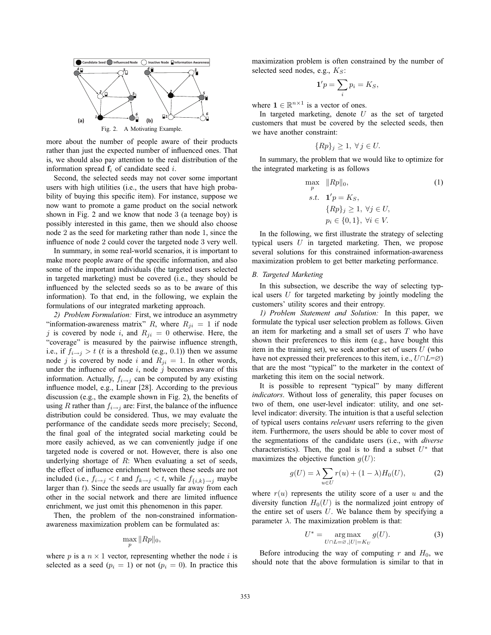

more about the number of people aware of their products rather than just the expected number of influenced ones. That is, we should also pay attention to the real distribution of the information spread  $f_i$  of candidate seed i.

Second, the selected seeds may not cover some important users with high utilities (i.e., the users that have high probability of buying this specific item). For instance, suppose we now want to promote a game product on the social network shown in Fig. 2 and we know that node 3 (a teenage boy) is possibly interested in this game, then we should also choose node 2 as the seed for marketing rather than node 1, since the influence of node 2 could cover the targeted node 3 very well.

In summary, in some real-world scenarios, it is important to make more people aware of the specific information, and also some of the important individuals (the targeted users selected in targeted marketing) must be covered (i.e., they should be influenced by the selected seeds so as to be aware of this information). To that end, in the following, we explain the formulations of our integrated marketing approach.

*2) Problem Formulation:* First, we introduce an asymmetry "information-awareness matrix" R, where  $R_{ji} = 1$  if node j is covered by node i, and  $R_{ji} = 0$  otherwise. Here, the "coverage" is measured by the pairwise influence strength, i.e., if  $\bar{f}_{i\to j} > t$  (*t* is a threshold (e.g., 0.1)) then we assume node *i* is covered by node *i* and  $R_{ii} = 1$ . In other words node j is covered by node i and  $R_{ji} = 1$ . In other words, under the influence of node  $i$ , node  $j$  becomes aware of this information. Actually,  $f_{i\rightarrow j}$  can be computed by any existing influence model, e.g., Linear [28]. According to the previous discussion (e.g., the example shown in Fig. 2), the benefits of using R rather than  $f_{i\rightarrow j}$  are: First, the balance of the influence distribution could be considered. Thus, we may evaluate the performance of the candidate seeds more precisely; Second, the final goal of the integrated social marketing could be more easily achieved, as we can conveniently judge if one targeted node is covered or not. However, there is also one underlying shortage of  $R$ : When evaluating a set of seeds, the effect of influence enrichment between these seeds are not included (i.e.,  $f_{i \to j} < t$  and  $f_{k \to j} < t$ , while  $f_{\{i,k\} \to j}$  maybe larger than  $t$ ). Since the seeds are usually far away from each other in the social network and there are limited influence enrichment, we just omit this phenomenon in this paper.

Then, the problem of the non-constrained informationawareness maximization problem can be formulated as:

$$
\max_{p} \|Rp\|_0,
$$

where  $p$  is a  $n \times 1$  vector, representing whether the node  $i$  is selected as a seed ( $p_i = 1$ ) or not ( $p_i = 0$ ). In practice this

maximization problem is often constrained by the number of selected seed nodes, e.g.,  $K_S$ :

$$
\mathbf{1}'p = \sum_i p_i = K_S,
$$

where  $\mathbf{1} \in \mathbb{R}^{n \times 1}$  is a vector of ones.

In targeted marketing, denote  $U$  as the set of targeted customers that must be covered by the selected seeds, then we have another constraint:

$$
\{Rp\}_j \ge 1, \ \forall j \in U.
$$

In summary, the problem that we would like to optimize for the integrated marketing is as follows

$$
\max_{p} \|Rp\|_{0},
$$
\n
$$
s.t. \mathbf{1}'p = K_{S},
$$
\n
$$
\{Rp\}_{j} \ge 1, \forall j \in U,
$$
\n
$$
p_{i} \in \{0, 1\}, \forall i \in V.
$$
\n
$$
(1)
$$

In the following, we first illustrate the strategy of selecting typical users  $U$  in targeted marketing. Then, we propose several solutions for this constrained information-awareness maximization problem to get better marketing performance.

# *B. Targeted Marketing*

In this subsection, we describe the way of selecting typical users  $U$  for targeted marketing by jointly modeling the customers' utility scores and their entropy.

*1) Problem Statement and Solution:* In this paper, we formulate the typical user selection problem as follows. Given an item for marketing and a small set of users  $T$  who have shown their preferences to this item (e.g., have bought this item in the training set), we seek another set of users  $U$  (who have not expressed their preferences to this item, i.e.,  $U \cap L = \emptyset$ ) that are the most "typical" to the marketer in the context of marketing this item on the social network.

It is possible to represent "typical" by many different *indicators*. Without loss of generality, this paper focuses on two of them, one user-level indicator: utility, and one setlevel indicator: diversity. The intuition is that a useful selection of typical users contains *relevant* users referring to the given item. Furthermore, the users should be able to cover most of the segmentations of the candidate users (i.e., with *diverse* characteristics). Then, the goal is to find a subset  $U^*$  that maximizes the objective function  $g(U)$ :

$$
g(U) = \lambda \sum_{u \in U} r(u) + (1 - \lambda)H_0(U), \tag{2}
$$

where  $r(u)$  represents the utility score of a user  $u$  and the diversity function  $H_0(U)$  is the normalized joint entropy of the entire set of users  $U$ . We balance them by specifying a parameter  $\lambda$ . The maximization problem is that:

$$
U^* = \underset{U \cap L = \varnothing, |U| = K_U}{\arg \max} g(U). \tag{3}
$$

Before introducing the way of computing  $r$  and  $H_0$ , we should note that the above formulation is similar to that in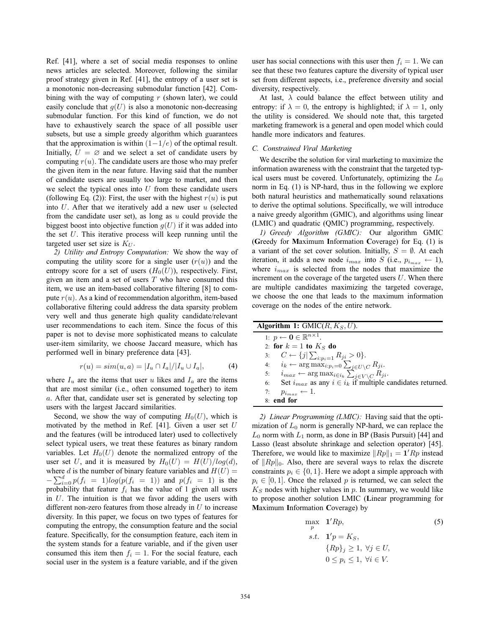Ref. [41], where a set of social media responses to online news articles are selected. Moreover, following the similar proof strategy given in Ref. [41], the entropy of a user set is a monotonic non-decreasing submodular function [42]. Combining with the way of computing  $r$  (shown later), we could easily conclude that  $q(U)$  is also a monotonic non-decreasing submodular function. For this kind of function, we do not have to exhaustively search the space of all possible user subsets, but use a simple greedy algorithm which guarantees that the approximation is within  $(1-1/e)$  of the optimal result.<br>Initially  $II - \emptyset$  and we select a set of candidate users by Initially,  $\overline{U} = \emptyset$  and we select a set of candidate users by computing  $r(u)$ . The candidate users are those who may prefer computing  $r(u)$ . The candidate users are those who may prefer the given item in the near future. Having said that the number of candidate users are usually too large to market, and then we select the typical ones into  $U$  from these candidate users (following Eq. (2)): First, the user with the highest  $r(u)$  is put into  $U$ . After that we iteratively add a new user  $u$  (selected from the candidate user set), as long as  $u$  could provide the biggest boost into objective function  $g(U)$  if it was added into the set  $U$ . This iterative process will keep running until the targeted user set size is  $K_U$ .

*2) Utility and Entropy Computation:* We show the way of computing the utility score for a single user  $(r(u))$  and the entropy score for a set of users  $(H_0(U))$ , respectively. First, given an item and a set of users  $T$  who have consumed this item, we use an item-based collaborative filtering [8] to compute  $r(u)$ . As a kind of recommendation algorithm, item-based collaborative filtering could address the data sparsity problem very well and thus generate high quality candidate/relevant user recommendations to each item. Since the focus of this paper is not to devise more sophisticated means to calculate user-item similarity, we choose Jaccard measure, which has performed well in binary preference data [43].

$$
r(u) = sim(u, a) = |I_u \cap I_a| / |I_u \cup I_a|,
$$
 (4)

where  $I_u$  are the items that user u likes and  $I_a$  are the items that are most similar (i.e., often consumed together) to item a. After that, candidate user set is generated by selecting top users with the largest Jaccard similarities.

Second, we show the way of computing  $H_0(U)$ , which is motivated by the method in Ref. [41]. Given a user set  $U$ and the features (will be introduced later) used to collectively select typical users, we treat these features as binary random variables. Let  $H_0(U)$  denote the normalized entropy of the user set U, and it is measured by  $H_0(U) = H(U)/log(d),$ where *d* is the number of binary feature variables and  $H(U) = \sum_{r=0}^{d} f(r-1) \log(r) f(r-1)$  and  $g(f(r-1))$  is the  $-\sum_{i=0}^{d} p(f_i = 1) log(p(f_i = 1))$  and  $p(f_i = 1)$  is the probability that feature f, has the value of 1 given all users probability that feature  $f_i$  has the value of 1 given all users in  $U$ . The intuition is that we favor adding the users with different non-zero features from those already in  $U$  to increase diversity. In this paper, we focus on two types of features for computing the entropy, the consumption feature and the social feature. Specifically, for the consumption feature, each item in the system stands for a feature variable, and if the given user consumed this item then  $f_i = 1$ . For the social feature, each social user in the system is a feature variable, and if the given

user has social connections with this user then  $f_i = 1$ . We can see that these two features capture the diversity of typical user set from different aspects, i.e., preference diversity and social diversity, respectively.

At last,  $\lambda$  could balance the effect between utility and entropy: if  $\lambda = 0$ , the entropy is highlighted; if  $\lambda = 1$ , only the utility is considered. We should note that, this targeted marketing framework is a general and open model which could handle more indicators and features.

# *C. Constrained Viral Marketing*

We describe the solution for viral marketing to maximize the information awareness with the constraint that the targeted typical users must be covered. Unfortunately, optimizing the  $L_0$ norm in Eq. (1) is NP-hard, thus in the following we explore both natural heuristics and mathematically sound relaxations to derive the optimal solutions. Specifically, we will introduce a naive greedy algorithm (GMIC), and algorithms using linear (LMIC) and quadratic (QMIC) programming, respectively.

*1) Greedy Algorithm (GMIC):* Our algorithm GMIC (**G**reedy for **M**aximum **I**nformation **C**overage) for Eq. (1) is a variant of the set cover solution. Initially,  $S = \emptyset$ . At each iteration it adds a new node i into S (i.e.  $n_i \leftarrow 1$ ) iteration, it adds a new node  $i_{max}$  into S (i.e.,  $p_{i_{max}} \leftarrow 1$ ), where  $i_{max}$  is selected from the nodes that maximize the increment on the coverage of the targeted users  $U$ . When there are multiple candidates maximizing the targeted coverage, we choose the one that leads to the maximum information coverage on the nodes of the entire network.

| <b>Algorithm 1:</b> GMIC( $R, K_S, U$ ).                                                                                                                       |
|----------------------------------------------------------------------------------------------------------------------------------------------------------------|
| 1: $p \leftarrow \mathbf{0} \in \mathbb{R}^{n \times 1}$ .                                                                                                     |
| 2: for $k=1$ to $K_S$ do                                                                                                                                       |
| 3: $C \leftarrow \{j   \sum_{i:p_i=1} R_{ji} > 0\}.$                                                                                                           |
| 4: $i_k \leftarrow \arg \max_{i:p_i=0} \sum_{j \in U \setminus C} R_{ji}.$<br>5: $i_{max} \leftarrow \arg \max_{i \in i_k} \sum_{j \in V \setminus C} R_{ji}.$ |
|                                                                                                                                                                |
| Set $i_{max}$ as any $i \in i_k$ if multiple candidates returned.<br>6:                                                                                        |
| $p_{i_{max}} \leftarrow 1.$<br>7:                                                                                                                              |
| 8: end for                                                                                                                                                     |

*2) Linear Programming (LMIC):* Having said that the optimization of  $L_0$  norm is generally NP-hard, we can replace the  $L_0$  norm with  $L_1$  norm, as done in BP (Basis Pursuit) [44] and Lasso (least absolute shrinkage and selection operator) [45]. Therefore, we would like to maximize  $||Rp||_1 = 1'Rp$  instead<br>of  $||Rp||_2$ . Also, there are several ways to relay the discrete of  $||Rp||_0$ . Also, there are several ways to relax the discrete constraints  $p_i \in \{0, 1\}$ . Here we adopt a simple approach with  $p_i \in [0, 1]$ . Once the relaxed p is returned, we can select the  $K<sub>S</sub>$  nodes with higher values in  $p$ . In summary, we would like to propose another solution LMIC (**L**inear programming for **M**aximum **I**nformation **C**overage) by

$$
\max_{p} \quad \mathbf{1}'Rp, \tag{5}
$$
\n
$$
s.t. \quad \mathbf{1}'p = K_S, \tag{3}
$$
\n
$$
\{Rp\}_j \ge 1, \ \forall j \in U, \quad 0 \le p_i \le 1, \ \forall i \in V.
$$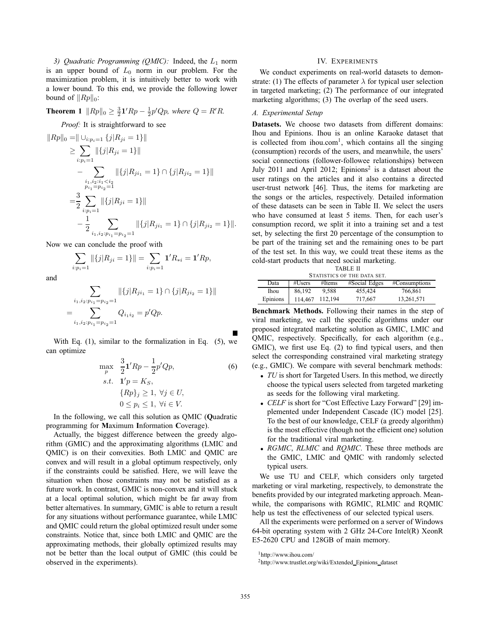3) Quadratic Programming (QMIC): Indeed, the  $L_1$  norm is an upper bound of  $L_0$  norm in our problem. For the maximization problem, it is intuitively better to work with a lower bound. To this end, we provide the following lower bound of  $||Rp||_0$ :

**Theorem 1**  $||Rp||_0 \ge \frac{3}{2}\mathbf{1}'Rp - \frac{1}{2}p'Qp$ , where  $Q = R'R$ .

*Proof:* It is straightforward to see

$$
||Rp||_0 = || \cup_{i:p_i=1} \{j|R_{ji} = 1\}||
$$
  
\n
$$
\geq \sum_{i:p_i=1} ||\{j|R_{ji} = 1\}||
$$
  
\n
$$
-\sum_{\substack{i_1,i_2:i_1  
\n
$$
= \frac{3}{2} \sum_{i:p_i=1} ||\{j|R_{ji} = 1\}||
$$
  
\n
$$
- \frac{1}{2} \sum_{i_1,i_2:p_{i_1}=p_{i_2}=1} ||\{j|R_{ji_1} = 1\} \cap \{j|R_{ji_2} = 1\}||.
$$
$$

Now we can conclude the proof with

$$
\sum_{i:p_i=1} \|\{j|R_{ji}=1\}\| = \sum_{i:p_i=1} \mathbf{1}'R_{*i} = \mathbf{1}'Rp,
$$

and

$$
\sum_{\substack{i_1, i_2: p_{i_1} = p_{i_2} = 1}} ||\{j | R_{j i_1} = 1\} \cap \{j | R_{j i_2} = 1\}||
$$
  
= 
$$
\sum_{i_1, i_2: p_{i_1} = p_{i_2} = 1} Q_{i_1 i_2} = p' Q p.
$$

With Eq.  $(1)$ , similar to the formalization in Eq.  $(5)$ , we can optimize

$$
\max_{p} \frac{3}{2} \mathbf{1}'Rp - \frac{1}{2}p'Qp,
$$
\n*s.t.* 
$$
\mathbf{1}'p = K_S,
$$
\n
$$
\{Rp\}_j \ge 1, \ \forall j \in U,
$$
\n
$$
0 \le p_i \le 1, \ \forall i \in V.
$$
\n(6)

In the following, we call this solution as QMIC (**Q**uadratic programming for **M**aximum **I**nformation **C**overage).

Actually, the biggest difference between the greedy algorithm (GMIC) and the approximating algorithms (LMIC and QMIC) is on their convexities. Both LMIC and QMIC are convex and will result in a global optimum respectively, only if the constraints could be satisfied. Here, we will leave the situation when those constraints may not be satisfied as a future work. In contrast, GMIC is non-convex and it will stuck at a local optimal solution, which might be far away from better alternatives. In summary, GMIC is able to return a result for any situations without performance guarantee, while LMIC and QMIC could return the global optimized result under some constraints. Notice that, since both LMIC and QMIC are the approximating methods, their globally optimized results may not be better than the local output of GMIC (this could be observed in the experiments).

# IV. EXPERIMENTS

We conduct experiments on real-world datasets to demonstrate: (1) The effects of parameter  $\lambda$  for typical user selection in targeted marketing; (2) The performance of our integrated marketing algorithms; (3) The overlap of the seed users.

# *A. Experimental Setup*

**Datasets.** We choose two datasets from different domains: Ihou and Epinions. Ihou is an online Karaoke dataset that is collected from ihou.com<sup>1</sup>, which contains all the singing (consumption) records of the users, and meanwhile, the users' social connections (follower-followee relationships) between July 2011 and April 2012; Epinions<sup>2</sup> is a dataset about the user ratings on the articles and it also contains a directed user-trust network [46]. Thus, the items for marketing are the songs or the articles, respectively. Detailed information of these datasets can be seen in Table II. We select the users who have consumed at least 5 items. Then, for each user's consumption record, we split it into a training set and a test set, by selecting the first 20 percentage of the consumption to be part of the training set and the remaining ones to be part of the test set. In this way, we could treat these items as the cold-start products that need social marketing.

| <b>TABLE II</b>             |         |         |               |               |  |  |  |
|-----------------------------|---------|---------|---------------|---------------|--|--|--|
| STATISTICS OF THE DATA SET. |         |         |               |               |  |  |  |
| Data                        | #Users  | #Items  | #Social Edges | #Consumptions |  |  |  |
| Ihou                        | 86,192  | 9.588   | 455,424       | 766,861       |  |  |  |
| Epinions                    | 114.467 | 112.194 | 717.667       | 13,261,571    |  |  |  |

**Benchmark Methods.** Following their names in the step of viral marketing, we call the specific algorithms under our proposed integrated marketing solution as GMIC, LMIC and QMIC, respectively. Specifically, for each algorithm (e.g., GMIC), we first use Eq. (2) to find typical users, and then select the corresponding constrained viral marketing strategy (e.g., GMIC). We compare with several benchmark methods:

- *TU* is short for Targeted Users. In this method, we directly choose the typical users selected from targeted marketing as seeds for the following viral marketing.
- *CELF* is short for "Cost Effective Lazy Forward" [29] implemented under Independent Cascade (IC) model [25]. To the best of our knowledge, CELF (a greedy algorithm) is the most effective (though not the efficient one) solution for the traditional viral marketing.
- *RGMIC*, *RLMIC* and *RQMIC*. These three methods are the GMIC, LMIC and QMIC with randomly selected typical users.

We use TU and CELF, which considers only targeted marketing or viral marketing, respectively, to demonstrate the benefits provided by our integrated marketing approach. Meanwhile, the comparisons with RGMIC, RLMIC and RQMIC help us test the effectiveness of our selected typical users.

All the experiments were performed on a server of Windows 64-bit operating system with 2 GHz 24-Core Intel(R) XeonR E5-2620 CPU and 128GB of main memory.

<sup>1</sup>http://www.ihou.com/

<sup>&</sup>lt;sup>2</sup>http://www.trustlet.org/wiki/Extended\_Epinions\_dataset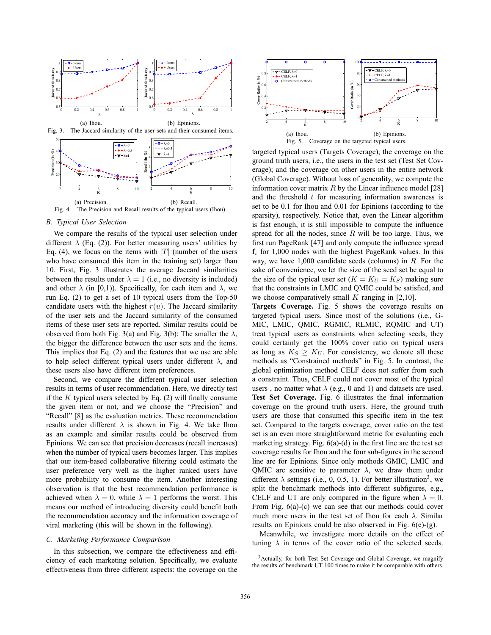

## *B. Typical User Selection*

We compare the results of the typical user selection under different  $\lambda$  (Eq. (2)). For better measuring users' utilities by Eq. (4), we focus on the items with  $|T|$  (number of the users who have consumed this item in the training set) larger than 10. First, Fig. 3 illustrates the average Jaccard similarities between the results under  $\lambda = 1$  (i.e., no diversity is included) and other  $\lambda$  (in [0,1)). Specifically, for each item and  $\lambda$ , we run Eq. (2) to get a set of 10 typical users from the Top-50 candidate users with the highest  $r(u)$ . The Jaccard similarity of the user sets and the Jaccard similarity of the consumed items of these user sets are reported. Similar results could be observed from both Fig. 3(a) and Fig. 3(b): The smaller the  $\lambda$ , the bigger the difference between the user sets and the items. This implies that Eq. (2) and the features that we use are able to help select different typical users under different  $\lambda$ , and these users also have different item preferences.

Second, we compare the different typical user selection results in terms of user recommendation. Here, we directly test if the  $K$  typical users selected by Eq. (2) will finally consume the given item or not, and we choose the "Precision" and "Recall" [8] as the evaluation metrics. These recommendation results under different  $\lambda$  is shown in Fig. 4. We take Ihou as an example and similar results could be observed from Epinions. We can see that precision decreases (recall increases) when the number of typical users becomes larger. This implies that our item-based collaborative filtering could estimate the user preference very well as the higher ranked users have more probability to consume the item. Another interesting observation is that the best recommendation performance is achieved when  $\lambda = 0$ , while  $\lambda = 1$  performs the worst. This means our method of introducing diversity could benefit both the recommendation accuracy and the information coverage of viral marketing (this will be shown in the following).

## *C. Marketing Performance Comparison*

In this subsection, we compare the effectiveness and efficiency of each marketing solution. Specifically, we evaluate effectiveness from three different aspects: the coverage on the



targeted typical users (Targets Coverage), the coverage on the ground truth users, i.e., the users in the test set (Test Set Coverage); and the coverage on other users in the entire network (Global Coverage). Without loss of generality, we compute the information cover matrix  $R$  by the Linear influence model [28] and the threshold  $t$  for measuring information awareness is set to be 0.1 for Ihou and 0.01 for Epinions (according to the sparsity), respectively. Notice that, even the Linear algorithm is fast enough, it is still impossible to compute the influence spread for all the nodes, since  $R$  will be too large. Thus, we first run PageRank [47] and only compute the influence spread  $f_i$  for 1,000 nodes with the highest PageRank values. In this way, we have  $1,000$  candidate seeds (columns) in  $R$ . For the sake of convenience, we let the size of the seed set be equal to the size of the typical user set  $(K = K_U = K_S)$  making sure<br>that the constraints in LMIC and OMIC could be satisfied and that the constraints in LMIC and QMIC could be satisfied, and we choose comparatively small  $K$  ranging in [2,10].

**Targets Coverage.** Fig. 5 shows the coverage results on targeted typical users. Since most of the solutions (i.e., G-MIC, LMIC, QMIC, RGMIC, RLMIC, RQMIC and UT) treat typical users as constraints when selecting seeds, they could certainly get the 100% cover ratio on typical users as long as  $K_S \geq K_U$ . For consistency, we denote all these methods as "Constrained methods" in Fig. 5. In contrast, the global optimization method CELF does not suffer from such a constraint. Thus, CELF could not cover most of the typical users, no matter what  $\lambda$  (e.g., 0 and 1) and datasets are used. Test Set Coverage. Fig. 6 illustrates the final information coverage on the ground truth users. Here, the ground truth users are those that consumed this specific item in the test set. Compared to the targets coverage, cover ratio on the test set is an even more straightforward metric for evaluating each marketing strategy. Fig.  $6(a)$ - $(d)$  in the first line are the test set coverage results for Ihou and the four sub-figures in the second line are for Epinions. Since only methods GMIC, LMIC and QMIC are sensitive to parameter  $\lambda$ , we draw them under different  $\lambda$  settings (i.e., 0, 0.5, 1). For better illustration<sup>3</sup>, we split the benchmark methods into different subfigures, e.g., CELF and UT are only compared in the figure when  $\lambda = 0$ .<br>From Fig. 6(a)-(c) we can see that our methods could cover From Fig. 6(a)-(c) we can see that our methods could cover much more users in the test set of Ihou for each  $\lambda$ . Similar results on Epinions could be also observed in Fig. 6(e)-(g).

Meanwhile, we investigate more details on the effect of tuning  $\lambda$  in terms of the cover ratio of the selected seeds.

<sup>3</sup>Actually, for both Test Set Coverage and Global Coverage, we magnify the results of benchmark UT 100 times to make it be comparable with others.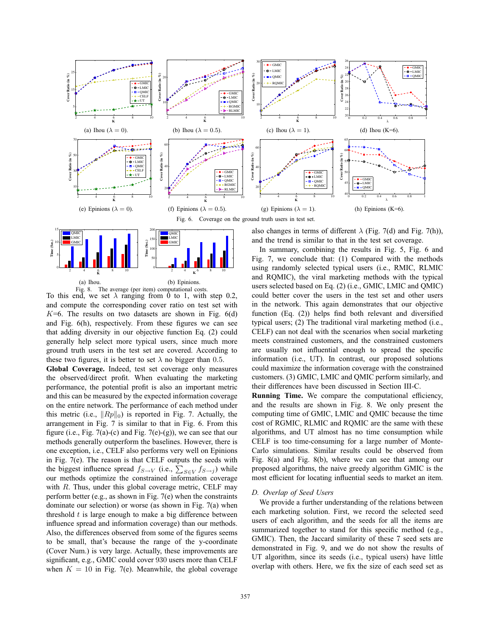



Fig. 8. The average (per item) computational costs. To this end, we set  $\lambda$  ranging from 0 to 1, with step 0.2, and compute the corresponding cover ratio on test set with  $K=6$ . The results on two datasets are shown in Fig.  $6(d)$ and Fig. 6(h), respectively. From these figures we can see that adding diversity in our objective function Eq. (2) could generally help select more typical users, since much more ground truth users in the test set are covered. According to these two figures, it is better to set  $\lambda$  no bigger than 0.5.<br>Clobal Coverage, Indeed, test set coverage only measured

**Global Coverage.** Indeed, test set coverage only measures the observed/direct profit. When evaluating the marketing performance, the potential profit is also an important metric and this can be measured by the expected information coverage on the entire network. The performance of each method under this metric (i.e.,  $||Rp||_0$ ) is reported in Fig. 7. Actually, the arrangement in Fig. 7 is similar to that in Fig. 6. From this figure (i.e., Fig. 7(a)-(c) and Fig. 7(e)-(g)), we can see that our methods generally outperform the baselines. However, there is one exception, i.e., CELF also performs very well on Epinions in Fig. 7(e). The reason is that CELF outputs the seeds with in Fig. 7(e). The reason is that CELF outputs the seeds with the biggest influence spread  $f_{S\rightarrow V}$  (i.e.,  $\sum_{S\in V} f_{S\rightarrow j}$ ) while our methods optimize the constrained information coverage with  $R$ . Thus, under this global coverage metric, CELF may perform better (e.g., as shown in Fig. 7(e) when the constraints dominate our selection) or worse (as shown in Fig. 7(a) when threshold  $t$  is large enough to make a big difference between influence spread and information coverage) than our methods. Also, the differences observed from some of the figures seems to be small, that's because the range of the y-coordinate (Cover Num.) is very large. Actually, these improvements are significant, e.g., GMIC could cover 930 users more than CELF<br>when  $K = 10$  in Fig. 7(e) Meanwhile, the global coverage when  $K = 10$  in Fig. 7(e). Meanwhile, the global coverage

also changes in terms of different  $\lambda$  (Fig. 7(d) and Fig. 7(h)), and the trend is similar to that in the test set coverage.

In summary, combining the results in Fig. 5, Fig. 6 and Fig. 7, we conclude that: (1) Compared with the methods using randomly selected typical users (i.e., RMIC, RLMIC and RQMIC), the viral marketing methods with the typical users selected based on Eq. (2) (i.e., GMIC, LMIC and QMIC) could better cover the users in the test set and other users in the network. This again demonstrates that our objective function  $(Eq. (2))$  helps find both relevant and diversified typical users; (2) The traditional viral marketing method (i.e., CELF) can not deal with the scenarios when social marketing meets constrained customers, and the constrained customers are usually not influential enough to spread the specific information (i.e., UT). In contrast, our proposed solutions could maximize the information coverage with the constrained customers. (3) GMIC, LMIC and QMIC perform similarly, and their differences have been discussed in Section III-C.

Running Time. We compare the computational efficiency, and the results are shown in Fig. 8. We only present the computing time of GMIC, LMIC and QMIC because the time cost of RGMIC, RLMIC and RQMIC are the same with these algorithms, and UT almost has no time consumption while CELF is too time-consuming for a large number of Monte-Carlo simulations. Similar results could be observed from Fig. 8(a) and Fig. 8(b), where we can see that among our proposed algorithms, the naive greedy algorithm GMIC is the most efficient for locating influential seeds to market an item.

## *D. Overlap of Seed Users*

We provide a further understanding of the relations between each marketing solution. First, we record the selected seed users of each algorithm, and the seeds for all the items are summarized together to stand for this specific method (e.g., GMIC). Then, the Jaccard similarity of these 7 seed sets are demonstrated in Fig. 9, and we do not show the results of UT algorithm, since its seeds (i.e., typical users) have little overlap with others. Here, we fix the size of each seed set as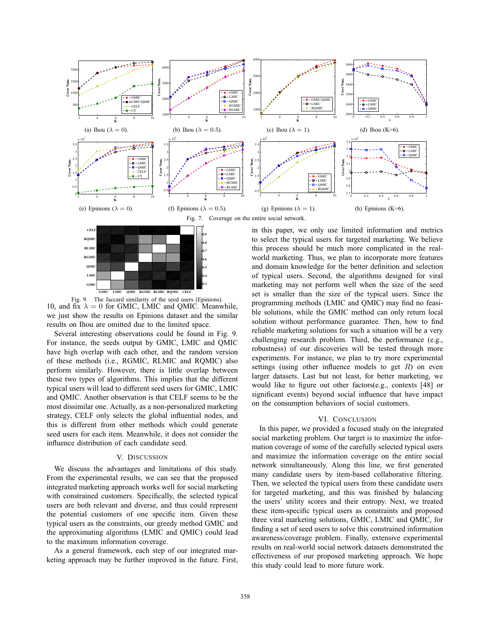



Fig. 9. The Jaccard similarity of the seed users (Epinions). 10, and  $fix \lambda = 0$  for GMIC, LMIC and QMIC. Meanwhile, we just show the results on Epinions dataset and the similar

results on Ihou are omitted due to the limited space. Several interesting observations could be found in Fig. 9. For instance, the seeds output by GMIC, LMIC and QMIC have high overlap with each other, and the random version of these methods (i.e., RGMIC, RLMIC and RQMIC) also perform similarly. However, there is little overlap between these two types of algorithms. This implies that the different typical users will lead to different seed users for GMIC, LMIC and QMIC. Another observation is that CELF seems to be the most dissimilar one. Actually, as a non-personalized marketing strategy, CELF only selects the global influential nodes, and this is different from other methods which could generate seed users for each item. Meanwhile, it does not consider the influence distribution of each candidate seed.

## V. DISCUSSION

We discuss the advantages and limitations of this study. From the experimental results, we can see that the proposed integrated marketing approach works well for social marketing with constrained customers. Specifically, the selected typical users are both relevant and diverse, and thus could represent the potential customers of one specific item. Given these typical users as the constraints, our greedy method GMIC and the approximating algorithms (LMIC and QMIC) could lead to the maximum information coverage.

As a general framework, each step of our integrated marketing approach may be further improved in the future. First, in this paper, we only use limited information and metrics to select the typical users for targeted marketing. We believe this process should be much more complicated in the realworld marketing. Thus, we plan to incorporate more features and domain knowledge for the better definition and selection of typical users. Second, the algorithms designed for viral marketing may not perform well when the size of the seed set is smaller than the size of the typical users. Since the programming methods (LMIC and QMIC) may find no feasible solutions, while the GMIC method can only return local solution without performance guarantee. Then, how to find reliable marketing solutions for such a situation will be a very challenging research problem. Third, the performance (e.g., robustness) of our discoveries will be tested through more experiments. For instance, we plan to try more experimental settings (using other influence models to get  $R$ ) on even larger datasets. Last but not least, for better marketing, we would like to figure out other factors(e.g., contexts [48] or significant events) beyond social influence that have impact on the consumption behaviors of social customers.

# VI. CONCLUSION

In this paper, we provided a focused study on the integrated social marketing problem. Our target is to maximize the information coverage of some of the carefully selected typical users and maximize the information coverage on the entire social network simultaneously. Along this line, we first generated many candidate users by item-based collaborative filtering. Then, we selected the typical users from these candidate users for targeted marketing, and this was finished by balancing the users' utility scores and their entropy. Next, we treated these item-specific typical users as constraints and proposed three viral marketing solutions, GMIC, LMIC and QMIC, for finding a set of seed users to solve this constrained information awareness/coverage problem. Finally, extensive experimental results on real-world social network datasets demonstrated the effectiveness of our proposed marketing approach. We hope this study could lead to more future work.